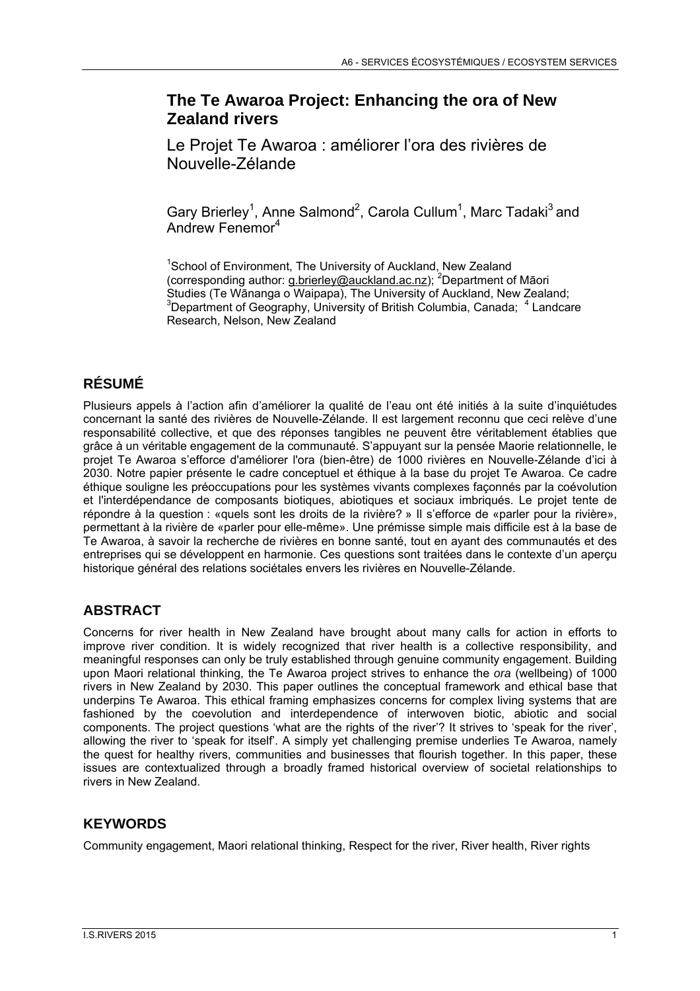## **The Te Awaroa Project: Enhancing the ora of New Zealand rivers**

Le Projet Te Awaroa : améliorer l'ora des rivières de Nouvelle-Zélande

Gary Brierley<sup>1</sup>, Anne Salmond<sup>2</sup>, Carola Cullum<sup>1</sup>, Marc Tadaki<sup>3</sup> and Andrew Fenemor<sup>4</sup>

<sup>1</sup>School of Environment, The University of Auckland, New Zealand (corresponding author: g.brierley@auckland.ac.nz); <sup>2</sup>Department of Māori Studies (Te Wānanga o Waipapa), The University of Auckland, New Zealand; 3 Department of Geography, University of British Columbia, Canada; <sup>4</sup> Landcare Research, Nelson, New Zealand

# **RÉSUMÉ**

Plusieurs appels à l'action afin d'améliorer la qualité de l'eau ont été initiés à la suite d'inquiétudes concernant la santé des rivières de Nouvelle-Zélande. Il est largement reconnu que ceci relève d'une responsabilité collective, et que des réponses tangibles ne peuvent être véritablement établies que grâce à un véritable engagement de la communauté. S'appuyant sur la pensée Maorie relationnelle, le projet Te Awaroa s'efforce d'améliorer l'ora (bien-être) de 1000 rivières en Nouvelle-Zélande d'ici à 2030. Notre papier présente le cadre conceptuel et éthique à la base du projet Te Awaroa. Ce cadre éthique souligne les préoccupations pour les systèmes vivants complexes façonnés par la coévolution et l'interdépendance de composants biotiques, abiotiques et sociaux imbriqués. Le projet tente de répondre à la question : «quels sont les droits de la rivière? » Il s'efforce de «parler pour la rivière», permettant à la rivière de «parler pour elle-même». Une prémisse simple mais difficile est à la base de Te Awaroa, à savoir la recherche de rivières en bonne santé, tout en ayant des communautés et des entreprises qui se développent en harmonie. Ces questions sont traitées dans le contexte d'un aperçu historique général des relations sociétales envers les rivières en Nouvelle-Zélande.

## **ABSTRACT**

Concerns for river health in New Zealand have brought about many calls for action in efforts to improve river condition. It is widely recognized that river health is a collective responsibility, and meaningful responses can only be truly established through genuine community engagement. Building upon Maori relational thinking, the Te Awaroa project strives to enhance the *ora* (wellbeing) of 1000 rivers in New Zealand by 2030. This paper outlines the conceptual framework and ethical base that underpins Te Awaroa. This ethical framing emphasizes concerns for complex living systems that are fashioned by the coevolution and interdependence of interwoven biotic, abiotic and social components. The project questions 'what are the rights of the river'? It strives to 'speak for the river', allowing the river to 'speak for itself'. A simply yet challenging premise underlies Te Awaroa, namely the quest for healthy rivers, communities and businesses that flourish together. In this paper, these issues are contextualized through a broadly framed historical overview of societal relationships to rivers in New Zealand.

### **KEYWORDS**

Community engagement, Maori relational thinking, Respect for the river, River health, River rights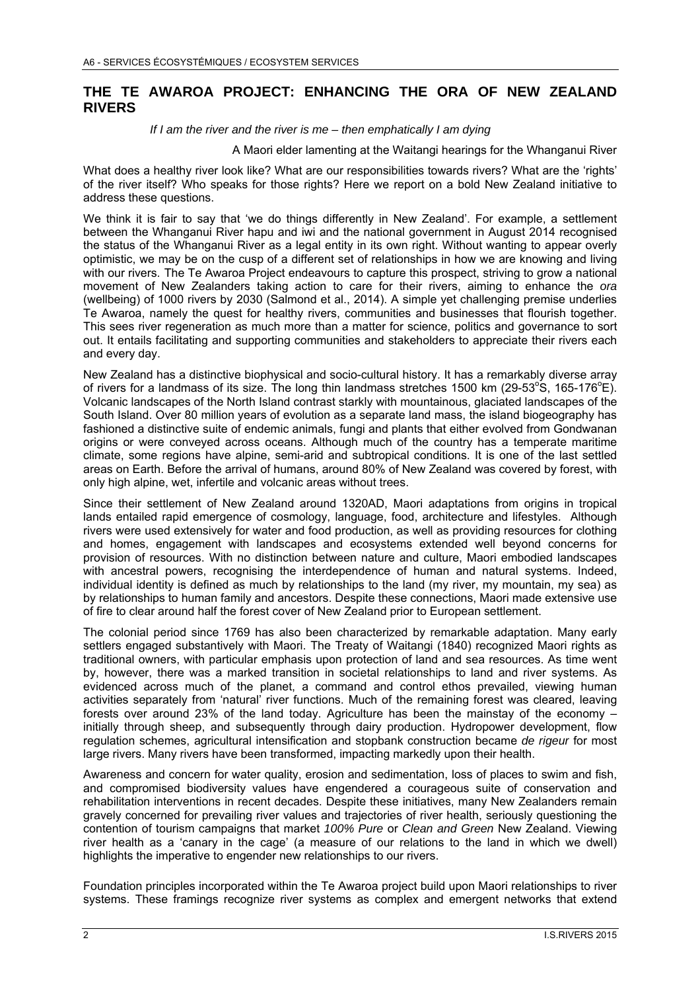#### **THE TE AWAROA PROJECT: ENHANCING THE ORA OF NEW ZEALAND RIVERS**

#### *If I am the river and the river is me – then emphatically I am dying*

#### A Maori elder lamenting at the Waitangi hearings for the Whanganui River

What does a healthy river look like? What are our responsibilities towards rivers? What are the 'rights' of the river itself? Who speaks for those rights? Here we report on a bold New Zealand initiative to address these questions.

We think it is fair to say that 'we do things differently in New Zealand'. For example, a settlement between the Whanganui River hapu and iwi and the national government in August 2014 recognised the status of the Whanganui River as a legal entity in its own right. Without wanting to appear overly optimistic, we may be on the cusp of a different set of relationships in how we are knowing and living with our rivers. The Te Awaroa Project endeavours to capture this prospect, striving to grow a national movement of New Zealanders taking action to care for their rivers, aiming to enhance the *ora* (wellbeing) of 1000 rivers by 2030 (Salmond et al., 2014). A simple yet challenging premise underlies Te Awaroa, namely the quest for healthy rivers, communities and businesses that flourish together. This sees river regeneration as much more than a matter for science, politics and governance to sort out. It entails facilitating and supporting communities and stakeholders to appreciate their rivers each and every day.

New Zealand has a distinctive biophysical and socio-cultural history. It has a remarkably diverse array of rivers for a landmass of its size. The long thin landmass stretches 1500 km (29-53°S, 165-176°E). Volcanic landscapes of the North Island contrast starkly with mountainous, glaciated landscapes of the South Island. Over 80 million years of evolution as a separate land mass, the island biogeography has fashioned a distinctive suite of endemic animals, fungi and plants that either evolved from Gondwanan origins or were conveyed across oceans. Although much of the country has a temperate maritime climate, some regions have alpine, semi-arid and subtropical conditions. It is one of the last settled areas on Earth. Before the arrival of humans, around 80% of New Zealand was covered by forest, with only high alpine, wet, infertile and volcanic areas without trees.

Since their settlement of New Zealand around 1320AD, Maori adaptations from origins in tropical lands entailed rapid emergence of cosmology, language, food, architecture and lifestyles. Although rivers were used extensively for water and food production, as well as providing resources for clothing and homes, engagement with landscapes and ecosystems extended well beyond concerns for provision of resources. With no distinction between nature and culture, Maori embodied landscapes with ancestral powers, recognising the interdependence of human and natural systems. Indeed, individual identity is defined as much by relationships to the land (my river, my mountain, my sea) as by relationships to human family and ancestors. Despite these connections, Maori made extensive use of fire to clear around half the forest cover of New Zealand prior to European settlement.

The colonial period since 1769 has also been characterized by remarkable adaptation. Many early settlers engaged substantively with Maori. The Treaty of Waitangi (1840) recognized Maori rights as traditional owners, with particular emphasis upon protection of land and sea resources. As time went by, however, there was a marked transition in societal relationships to land and river systems. As evidenced across much of the planet, a command and control ethos prevailed, viewing human activities separately from 'natural' river functions. Much of the remaining forest was cleared, leaving forests over around 23% of the land today. Agriculture has been the mainstay of the economy – initially through sheep, and subsequently through dairy production. Hydropower development, flow regulation schemes, agricultural intensification and stopbank construction became *de rigeur* for most large rivers. Many rivers have been transformed, impacting markedly upon their health.

Awareness and concern for water quality, erosion and sedimentation, loss of places to swim and fish, and compromised biodiversity values have engendered a courageous suite of conservation and rehabilitation interventions in recent decades. Despite these initiatives, many New Zealanders remain gravely concerned for prevailing river values and trajectories of river health, seriously questioning the contention of tourism campaigns that market *100% Pure* or *Clean and Green* New Zealand. Viewing river health as a 'canary in the cage' (a measure of our relations to the land in which we dwell) highlights the imperative to engender new relationships to our rivers.

Foundation principles incorporated within the Te Awaroa project build upon Maori relationships to river systems. These framings recognize river systems as complex and emergent networks that extend